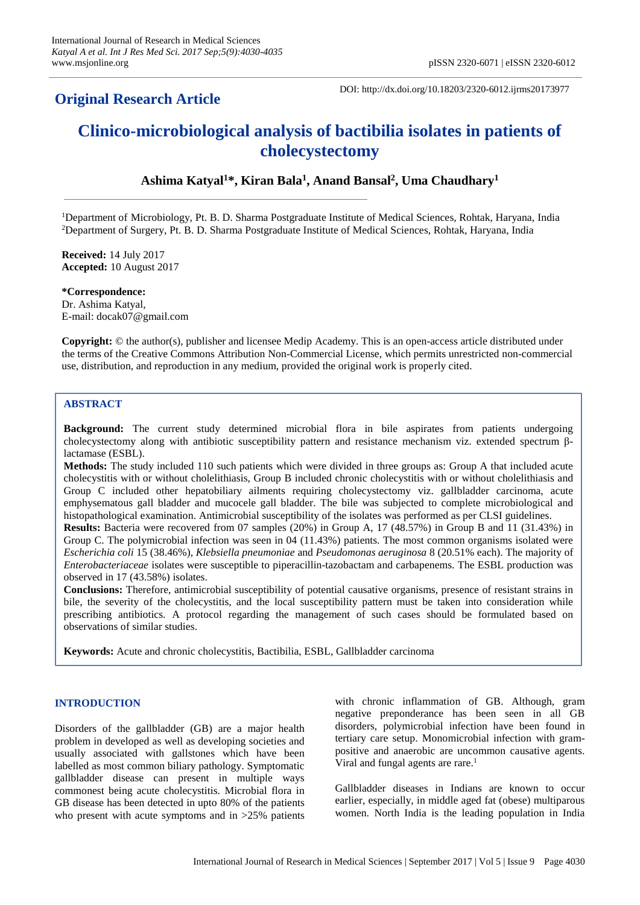## **Original Research Article**

DOI: http://dx.doi.org/10.18203/2320-6012.ijrms20173977

# **Clinico-microbiological analysis of bactibilia isolates in patients of cholecystectomy**

## **Ashima Katyal<sup>1</sup>\*, Kiran Bala<sup>1</sup> , Anand Bansal<sup>2</sup> , Uma Chaudhary<sup>1</sup>**

<sup>1</sup>Department of Microbiology, Pt. B. D. Sharma Postgraduate Institute of Medical Sciences, Rohtak, Haryana, India <sup>2</sup>Department of Surgery, Pt. B. D. Sharma Postgraduate Institute of Medical Sciences, Rohtak, Haryana, India

**Received:** 14 July 2017 **Accepted:** 10 August 2017

**\*Correspondence:** Dr. Ashima Katyal, E-mail: docak07@gmail.com

**Copyright:** © the author(s), publisher and licensee Medip Academy. This is an open-access article distributed under the terms of the Creative Commons Attribution Non-Commercial License, which permits unrestricted non-commercial use, distribution, and reproduction in any medium, provided the original work is properly cited.

## **ABSTRACT**

**Background:** The current study determined microbial flora in bile aspirates from patients undergoing cholecystectomy along with antibiotic susceptibility pattern and resistance mechanism viz. extended spectrum βlactamase (ESBL).

**Methods:** The study included 110 such patients which were divided in three groups as: Group A that included acute cholecystitis with or without cholelithiasis, Group B included chronic cholecystitis with or without cholelithiasis and Group C included other hepatobiliary ailments requiring cholecystectomy viz. gallbladder carcinoma, acute emphysematous gall bladder and mucocele gall bladder. The bile was subjected to complete microbiological and histopathological examination. Antimicrobial susceptibility of the isolates was performed as per CLSI guidelines.

**Results:** Bacteria were recovered from 07 samples (20%) in Group A, 17 (48.57%) in Group B and 11 (31.43%) in Group C. The polymicrobial infection was seen in 04 (11.43%) patients. The most common organisms isolated were *Escherichia coli* 15 (38.46%), *Klebsiella pneumoniae* and *Pseudomonas aeruginosa* 8 (20.51% each). The majority of *Enterobacteriaceae* isolates were susceptible to piperacillin-tazobactam and carbapenems. The ESBL production was observed in 17 (43.58%) isolates.

**Conclusions:** Therefore, antimicrobial susceptibility of potential causative organisms, presence of resistant strains in bile, the severity of the cholecystitis, and the local susceptibility pattern must be taken into consideration while prescribing antibiotics. A protocol regarding the management of such cases should be formulated based on observations of similar studies.

**Keywords:** Acute and chronic cholecystitis, Bactibilia, ESBL, Gallbladder carcinoma

### **INTRODUCTION**

Disorders of the gallbladder (GB) are a major health problem in developed as well as developing societies and usually associated with gallstones which have been labelled as most common biliary pathology. Symptomatic gallbladder disease can present in multiple ways commonest being acute cholecystitis. Microbial flora in GB disease has been detected in upto 80% of the patients who present with acute symptoms and in  $>25\%$  patients with chronic inflammation of GB. Although, gram negative preponderance has been seen in all GB disorders, polymicrobial infection have been found in tertiary care setup. Monomicrobial infection with grampositive and anaerobic are uncommon causative agents. Viral and fungal agents are rare.<sup>1</sup>

Gallbladder diseases in Indians are known to occur earlier, especially, in middle aged fat (obese) multiparous women. North India is the leading population in India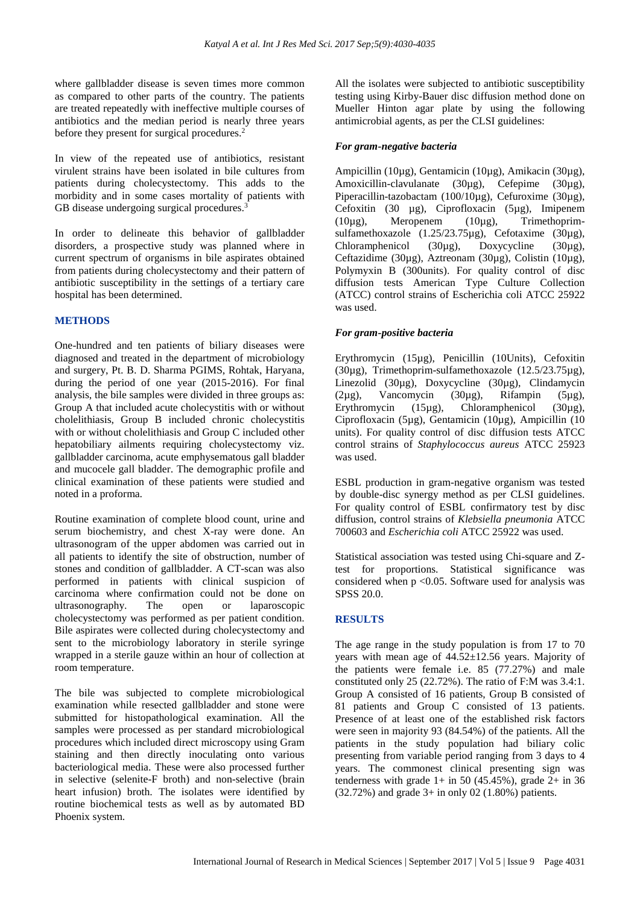where gallbladder disease is seven times more common as compared to other parts of the country. The patients are treated repeatedly with ineffective multiple courses of antibiotics and the median period is nearly three years before they present for surgical procedures.<sup>2</sup>

In view of the repeated use of antibiotics, resistant virulent strains have been isolated in bile cultures from patients during cholecystectomy. This adds to the morbidity and in some cases mortality of patients with GB disease undergoing surgical procedures.<sup>3</sup>

In order to delineate this behavior of gallbladder disorders, a prospective study was planned where in current spectrum of organisms in bile aspirates obtained from patients during cholecystectomy and their pattern of antibiotic susceptibility in the settings of a tertiary care hospital has been determined.

## **METHODS**

One-hundred and ten patients of biliary diseases were diagnosed and treated in the department of microbiology and surgery, Pt. B. D. Sharma PGIMS, Rohtak, Haryana, during the period of one year (2015-2016). For final analysis, the bile samples were divided in three groups as: Group A that included acute cholecystitis with or without cholelithiasis, Group B included chronic cholecystitis with or without cholelithiasis and Group C included other hepatobiliary ailments requiring cholecystectomy viz. gallbladder carcinoma, acute emphysematous gall bladder and mucocele gall bladder. The demographic profile and clinical examination of these patients were studied and noted in a proforma.

Routine examination of complete blood count, urine and serum biochemistry, and chest X-ray were done. An ultrasonogram of the upper abdomen was carried out in all patients to identify the site of obstruction, number of stones and condition of gallbladder. A CT-scan was also performed in patients with clinical suspicion of carcinoma where confirmation could not be done on ultrasonography. The open or laparoscopic cholecystectomy was performed as per patient condition. Bile aspirates were collected during cholecystectomy and sent to the microbiology laboratory in sterile syringe wrapped in a sterile gauze within an hour of collection at room temperature.

The bile was subjected to complete microbiological examination while resected gallbladder and stone were submitted for histopathological examination. All the samples were processed as per standard microbiological procedures which included direct microscopy using Gram staining and then directly inoculating onto various bacteriological media. These were also processed further in selective (selenite-F broth) and non-selective (brain heart infusion) broth. The isolates were identified by routine biochemical tests as well as by automated BD Phoenix system.

All the isolates were subjected to antibiotic susceptibility testing using Kirby-Bauer disc diffusion method done on Mueller Hinton agar plate by using the following antimicrobial agents, as per the CLSI guidelines:

## *For gram-negative bacteria*

Ampicillin (10µg), Gentamicin (10µg), Amikacin (30µg), Amoxicillin-clavulanate (30µg), Cefepime (30µg), Piperacillin-tazobactam (100/10µg), Cefuroxime (30µg), Cefoxitin (30 µg), Ciprofloxacin (5µg), Imipenem (10µg), Meropenem (10µg), Trimethoprimsulfamethoxazole (1.25/23.75µg), Cefotaxime (30µg), Chloramphenicol (30µg), Doxycycline (30µg), Ceftazidime (30µg), Aztreonam (30µg), Colistin (10µg), Polymyxin B (300units). For quality control of disc diffusion tests American Type Culture Collection (ATCC) control strains of Escherichia coli ATCC 25922 was used.

### *For gram-positive bacteria*

Erythromycin (15µg), Penicillin (10Units), Cefoxitin (30µg), Trimethoprim-sulfamethoxazole (12.5/23.75µg), Linezolid (30µg), Doxycycline (30µg), Clindamycin  $(2\mu g)$ , Vancomycin  $(30\mu g)$ , Rifampin  $(5\mu g)$ , Erythromycin (15µg), Chloramphenicol (30µg), Ciprofloxacin (5µg), Gentamicin (10µg), Ampicillin (10 units). For quality control of disc diffusion tests ATCC control strains of *Staphylococcus aureus* ATCC 25923 was used.

ESBL production in gram-negative organism was tested by double-disc synergy method as per CLSI guidelines. For quality control of ESBL confirmatory test by disc diffusion, control strains of *Klebsiella pneumonia* ATCC 700603 and *Escherichia coli* ATCC 25922 was used.

Statistical association was tested using Chi-square and Ztest for proportions. Statistical significance was considered when  $p \le 0.05$ . Software used for analysis was SPSS 20.0.

## **RESULTS**

The age range in the study population is from 17 to 70 years with mean age of 44.52±12.56 years. Majority of the patients were female i.e. 85 (77.27%) and male constituted only 25 (22.72%). The ratio of F:M was 3.4:1. Group A consisted of 16 patients, Group B consisted of 81 patients and Group C consisted of 13 patients. Presence of at least one of the established risk factors were seen in majority 93 (84.54%) of the patients. All the patients in the study population had biliary colic presenting from variable period ranging from 3 days to 4 years. The commonest clinical presenting sign was tenderness with grade  $1+$  in 50 (45.45%), grade  $2+$  in 36 (32.72%) and grade 3+ in only 02 (1.80%) patients.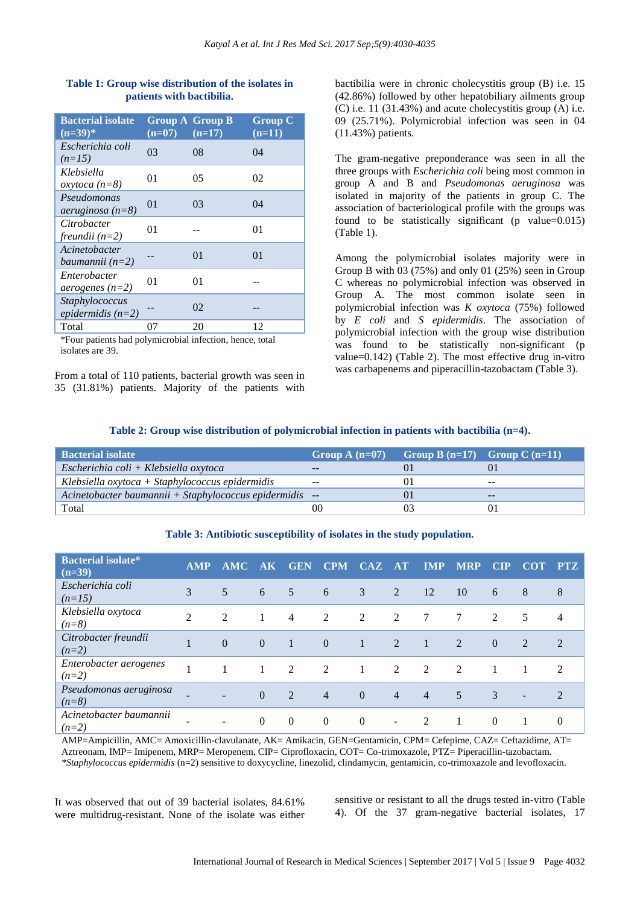#### **Table 1: Group wise distribution of the isolates in patients with bactibilia.**

| <b>Bacterial isolate</b><br>$(n=39)$ *   | $(n=07)$ | Group $\overline{A}$ Group B<br>$(n=17)$ | <b>Group C</b><br>$(n=11)$ |
|------------------------------------------|----------|------------------------------------------|----------------------------|
| Escherichia coli<br>$(n=15)$             | 03       | 08                                       | 04                         |
| Klebsiella<br>$oxy to ca (n=8)$          | 01       | 05                                       | 02                         |
| Pseudomonas<br>$aeruginosa (n=8)$        | 01       | 03                                       | 04                         |
| Citrobacter<br>freundii $(n=2)$          | 01       |                                          | 01                         |
| Acinetobacter<br>baumannii $(n=2)$       |          | 0 <sub>1</sub>                           | 01                         |
| Enterobacter<br><i>aerogenes</i> $(n=2)$ | 01       | 01                                       |                            |
| Staphylococcus<br>epidermidis $(n=2)$    |          | 02                                       |                            |
| Total                                    | 07       | 20                                       | 12                         |

\*Four patients had polymicrobial infection, hence, total isolates are 39.

From a total of 110 patients, bacterial growth was seen in 35 (31.81%) patients. Majority of the patients with bactibilia were in chronic cholecystitis group (B) i.e. 15 (42.86%) followed by other hepatobiliary ailments group  $(C)$  i.e. 11 (31.43%) and acute cholecystitis group (A) i.e. 09 (25.71%). Polymicrobial infection was seen in 04 (11.43%) patients.

The gram-negative preponderance was seen in all the three groups with *Escherichia coli* being most common in group A and B and *Pseudomonas aeruginosa* was isolated in majority of the patients in group C. The association of bacteriological profile with the groups was found to be statistically significant (p value= $0.015$ ) (Table 1).

Among the polymicrobial isolates majority were in Group B with 03 (75%) and only 01 (25%) seen in Group C whereas no polymicrobial infection was observed in Group A. The most common isolate seen in polymicrobial infection was *K oxytoca* (75%) followed by *E coli* and *S epidermidis*. The association of polymicrobial infection with the group wise distribution was found to be statistically non-significant (p value=0.142) (Table 2). The most effective drug in-vitro was carbapenems and piperacillin-tazobactam (Table 3).

#### **Table 2: Group wise distribution of polymicrobial infection in patients with bactibilia (n=4).**

| <b>Bacterial isolate</b>                                | Group A $(n=07)$         | Group B $(n=17)$ Group C $(n=11)$ |       |
|---------------------------------------------------------|--------------------------|-----------------------------------|-------|
| $Escherichia coli + Klebsiella oxytoca$                 | $- -$                    |                                   |       |
| $Klebsiella oxytoca + Staphylococcus epidermidis$       | $\overline{\phantom{m}}$ |                                   | $- -$ |
| Acinetobacter baumannii + Staphylococcus epidermidis -- |                          |                                   | $- -$ |
| Total                                                   | 00                       |                                   |       |

## **Bacterial isolate\* (n=39) AMP AMC AK GEN CPM CAZ AT IMP MRP CIP COT PTZ** *Escherichia coli (n=15)* 3 5 6 5 6 3 2 12 10 6 8 8 8 and the same 3 5 6 5 6 3 2 12 12 10 6 8 8 *Klebsiella oxytoca (n=8)* <sup>2</sup> <sup>2</sup> <sup>1</sup> <sup>4</sup> <sup>2</sup> <sup>2</sup> <sup>2</sup> <sup>7</sup> <sup>7</sup> <sup>2</sup> <sup>5</sup> <sup>4</sup> *Citrobacter freundii Chrobacter freunait* 1 0 0 1 0 1 2 1 2 0 2 2<br>(n=2) *Enterobacter aerogenes Chierobacter derogenes* 1 1 1 2 2 1 2 2 2 1 1 2<br>(n=2) *Pseudomonas aeruginosa r seudomonds deruginosa* - - 0 2 4 0 4 4 5 3 - 2<br>(n=8) *Acinetobacter baumannii (n=2)* - - <sup>0</sup> <sup>0</sup> <sup>0</sup> <sup>0</sup> - <sup>2</sup> <sup>1</sup> <sup>0</sup> <sup>1</sup> <sup>0</sup>

**Table 3: Antibiotic susceptibility of isolates in the study population.**

AMP=Ampicillin, AMC= Amoxicillin-clavulanate, AK= Amikacin, GEN=Gentamicin, CPM= Cefepime, CAZ= Ceftazidime, AT= Aztreonam, IMP= Imipenem, MRP= Meropenem, CIP= Ciprofloxacin, COT= Co-trimoxazole, PTZ= Piperacillin-tazobactam. *\*Staphylococcus epidermidis* (n=2) sensitive to doxycycline, linezolid, clindamycin, gentamicin, co-trimoxazole and levofloxacin*.*

It was observed that out of 39 bacterial isolates, 84.61% were multidrug-resistant. None of the isolate was either sensitive or resistant to all the drugs tested in-vitro (Table 4). Of the 37 gram-negative bacterial isolates, 17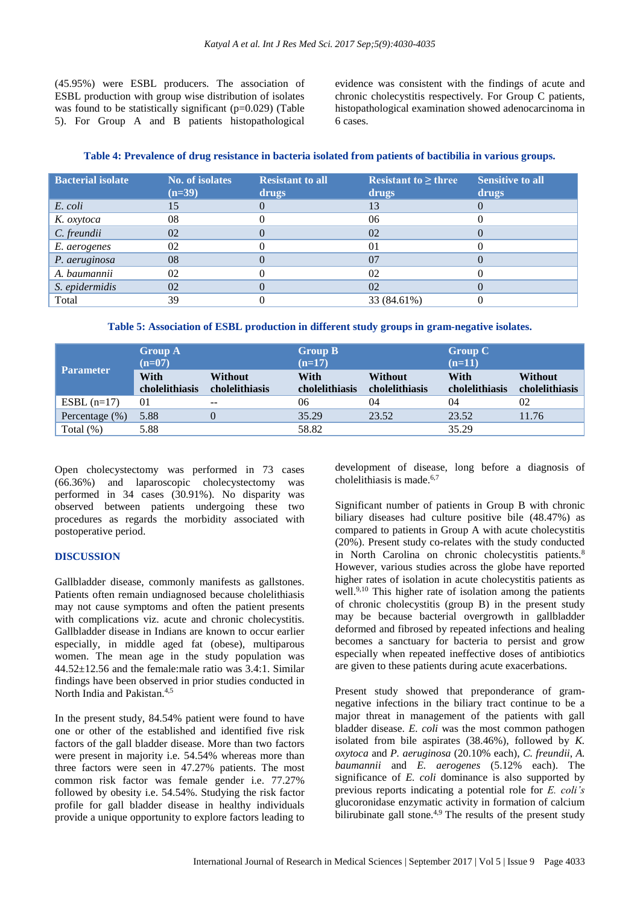(45.95%) were ESBL producers. The association of ESBL production with group wise distribution of isolates was found to be statistically significant  $(p=0.029)$  (Table 5). For Group A and B patients histopathological evidence was consistent with the findings of acute and chronic cholecystitis respectively. For Group C patients, histopathological examination showed adenocarcinoma in 6 cases.

|  | Table 4: Prevalence of drug resistance in bacteria isolated from patients of bactibilia in various groups. |  |
|--|------------------------------------------------------------------------------------------------------------|--|
|  |                                                                                                            |  |

| <b>Bacterial isolate</b> | <b>No. of isolates</b><br>$(n=39)$ | <b>Resistant to all</b><br>drugs | Resistant to $\geq$ three<br>drugs | <b>Sensitive to all</b><br>drugs |
|--------------------------|------------------------------------|----------------------------------|------------------------------------|----------------------------------|
| E. coli                  | 15                                 |                                  | 13                                 |                                  |
| K. oxytoca               | 08                                 |                                  | 06                                 |                                  |
| C. freundii              | 02                                 |                                  | 02                                 |                                  |
| E. aerogenes             | 02                                 |                                  | 01                                 |                                  |
| P. aeruginosa            | 08                                 |                                  | 07                                 |                                  |
| A. baumannii             | 02                                 |                                  | 02                                 |                                  |
| S. epidermidis           | 02                                 |                                  | 02                                 |                                  |
| Total                    | 39                                 |                                  | 33 (84.61%)                        |                                  |

**Table 5: Association of ESBL production in different study groups in gram-negative isolates.**

| <b>Parameter</b>  | <b>Group A</b><br>$(n=07)$ |                                  | <b>Group B</b><br>$(n=17)$ |                           | <b>Group C</b><br>$(n=11)$ |                           |
|-------------------|----------------------------|----------------------------------|----------------------------|---------------------------|----------------------------|---------------------------|
|                   | With<br>cholelithiasis     | <b>Without</b><br>cholelithiasis | With<br>cholelithiasis     | Without<br>cholelithiasis | With<br>cholelithiasis     | Without<br>cholelithiasis |
| $ESBL(n=17)$      | 01                         | $- -$                            | 06                         | 04                        | 04                         | 02                        |
| Percentage $(\%)$ | 5.88                       | 0                                | 35.29                      | 23.52                     | 23.52                      | 11.76                     |
| Total $(\%)$      | 5.88                       |                                  | 58.82                      |                           | 35.29                      |                           |

Open cholecystectomy was performed in 73 cases (66.36%) and laparoscopic cholecystectomy was performed in 34 cases (30.91%). No disparity was observed between patients undergoing these two procedures as regards the morbidity associated with postoperative period.

### **DISCUSSION**

Gallbladder disease, commonly manifests as gallstones. Patients often remain undiagnosed because cholelithiasis may not cause symptoms and often the patient presents with complications viz. acute and chronic cholecystitis. Gallbladder disease in Indians are known to occur earlier especially, in middle aged fat (obese), multiparous women. The mean age in the study population was 44.52±12.56 and the female:male ratio was 3.4:1. Similar findings have been observed in prior studies conducted in North India and Pakistan.4,5

In the present study, 84.54% patient were found to have one or other of the established and identified five risk factors of the gall bladder disease. More than two factors were present in majority i.e. 54.54% whereas more than three factors were seen in 47.27% patients. The most common risk factor was female gender i.e. 77.27% followed by obesity i.e. 54.54%. Studying the risk factor profile for gall bladder disease in healthy individuals provide a unique opportunity to explore factors leading to development of disease, long before a diagnosis of cholelithiasis is made.6,7

Significant number of patients in Group B with chronic biliary diseases had culture positive bile (48.47%) as compared to patients in Group A with acute cholecystitis (20%). Present study co-relates with the study conducted in North Carolina on chronic cholecystitis patients.<sup>8</sup> However, various studies across the globe have reported higher rates of isolation in acute cholecystitis patients as well.<sup>9,10</sup> This higher rate of isolation among the patients of chronic cholecystitis (group B) in the present study may be because bacterial overgrowth in gallbladder deformed and fibrosed by repeated infections and healing becomes a sanctuary for bacteria to persist and grow especially when repeated ineffective doses of antibiotics are given to these patients during acute exacerbations.

Present study showed that preponderance of gramnegative infections in the biliary tract continue to be a major threat in management of the patients with gall bladder disease. *E. coli* was the most common pathogen isolated from bile aspirates (38.46%), followed by *K. oxytoca* and *P. aeruginosa* (20.10% each), *C. freundii*, *A. baumannii* and *E. aerogenes* (5.12% each). The significance of *E. coli* dominance is also supported by previous reports indicating a potential role for *E. coli's* glucoronidase enzymatic activity in formation of calcium bilirubinate gall stone.<sup>4,9</sup> The results of the present study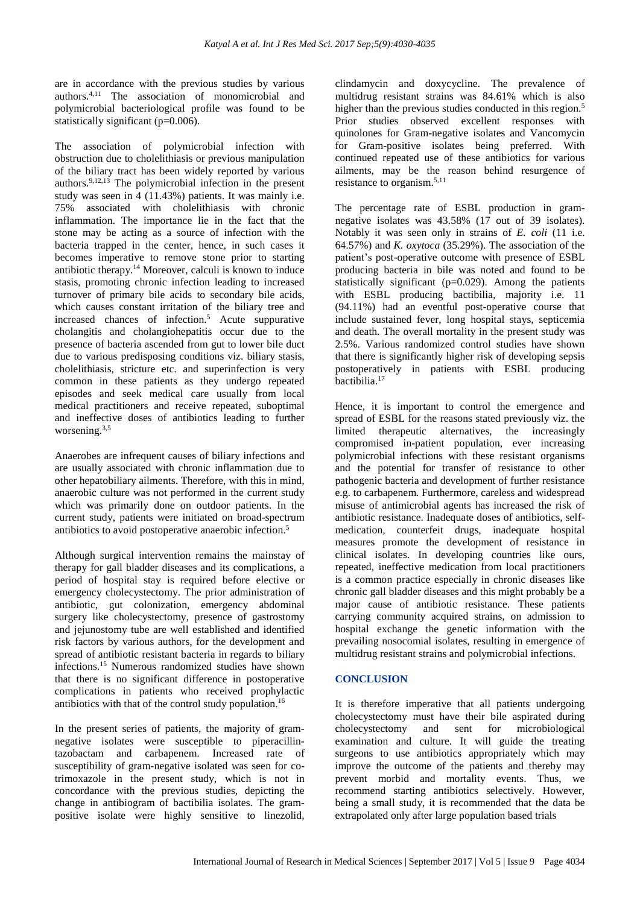are in accordance with the previous studies by various authors.4,11 The association of monomicrobial and polymicrobial bacteriological profile was found to be statistically significant (p=0.006).

The association of polymicrobial infection with obstruction due to cholelithiasis or previous manipulation of the biliary tract has been widely reported by various authors.9,12,13 The polymicrobial infection in the present study was seen in 4 (11.43%) patients. It was mainly i.e. 75% associated with cholelithiasis with chronic inflammation. The importance lie in the fact that the stone may be acting as a source of infection with the bacteria trapped in the center, hence, in such cases it becomes imperative to remove stone prior to starting antibiotic therapy.<sup>14</sup> Moreover, calculi is known to induce stasis, promoting chronic infection leading to increased turnover of primary bile acids to secondary bile acids, which causes constant irritation of the biliary tree and increased chances of infection.<sup>5</sup> Acute suppurative cholangitis and cholangiohepatitis occur due to the presence of bacteria ascended from gut to lower bile duct due to various predisposing conditions viz. biliary stasis, cholelithiasis, stricture etc. and superinfection is very common in these patients as they undergo repeated episodes and seek medical care usually from local medical practitioners and receive repeated, suboptimal and ineffective doses of antibiotics leading to further worsening.<sup>3,5</sup>

Anaerobes are infrequent causes of biliary infections and are usually associated with chronic inflammation due to other hepatobiliary ailments. Therefore, with this in mind, anaerobic culture was not performed in the current study which was primarily done on outdoor patients. In the current study, patients were initiated on broad-spectrum antibiotics to avoid postoperative anaerobic infection.<sup>5</sup>

Although surgical intervention remains the mainstay of therapy for gall bladder diseases and its complications, a period of hospital stay is required before elective or emergency cholecystectomy. The prior administration of antibiotic, gut colonization, emergency abdominal surgery like cholecystectomy, presence of gastrostomy and jejunostomy tube are well established and identified risk factors by various authors, for the development and spread of antibiotic resistant bacteria in regards to biliary infections.<sup>15</sup> Numerous randomized studies have shown that there is no significant difference in postoperative complications in patients who received prophylactic antibiotics with that of the control study population.<sup>16</sup>

In the present series of patients, the majority of gramnegative isolates were susceptible to piperacillintazobactam and carbapenem. Increased rate of susceptibility of gram-negative isolated was seen for cotrimoxazole in the present study, which is not in concordance with the previous studies, depicting the change in antibiogram of bactibilia isolates. The grampositive isolate were highly sensitive to linezolid, clindamycin and doxycycline. The prevalence of multidrug resistant strains was 84.61% which is also higher than the previous studies conducted in this region.<sup>5</sup> Prior studies observed excellent responses with quinolones for Gram-negative isolates and Vancomycin for Gram-positive isolates being preferred. With continued repeated use of these antibiotics for various ailments, may be the reason behind resurgence of resistance to organism.5,11

The percentage rate of ESBL production in gramnegative isolates was 43.58% (17 out of 39 isolates). Notably it was seen only in strains of *E. coli* (11 i.e. 64.57%) and *K. oxytoca* (35.29%). The association of the patient's post-operative outcome with presence of ESBL producing bacteria in bile was noted and found to be statistically significant (p=0.029). Among the patients with ESBL producing bactibilia, majority i.e. 11 (94.11%) had an eventful post-operative course that include sustained fever, long hospital stays, septicemia and death. The overall mortality in the present study was 2.5%. Various randomized control studies have shown that there is significantly higher risk of developing sepsis postoperatively in patients with ESBL producing bactibilia.<sup>17</sup>

Hence, it is important to control the emergence and spread of ESBL for the reasons stated previously viz. the limited therapeutic alternatives, the increasingly compromised in-patient population, ever increasing polymicrobial infections with these resistant organisms and the potential for transfer of resistance to other pathogenic bacteria and development of further resistance e.g. to carbapenem. Furthermore, careless and widespread misuse of antimicrobial agents has increased the risk of antibiotic resistance. Inadequate doses of antibiotics, selfmedication, counterfeit drugs, inadequate hospital measures promote the development of resistance in clinical isolates. In developing countries like ours, repeated, ineffective medication from local practitioners is a common practice especially in chronic diseases like chronic gall bladder diseases and this might probably be a major cause of antibiotic resistance. These patients carrying community acquired strains, on admission to hospital exchange the genetic information with the prevailing nosocomial isolates, resulting in emergence of multidrug resistant strains and polymicrobial infections.

## **CONCLUSION**

It is therefore imperative that all patients undergoing cholecystectomy must have their bile aspirated during cholecystectomy and sent for microbiological examination and culture. It will guide the treating surgeons to use antibiotics appropriately which may improve the outcome of the patients and thereby may prevent morbid and mortality events. Thus, we recommend starting antibiotics selectively. However, being a small study, it is recommended that the data be extrapolated only after large population based trials